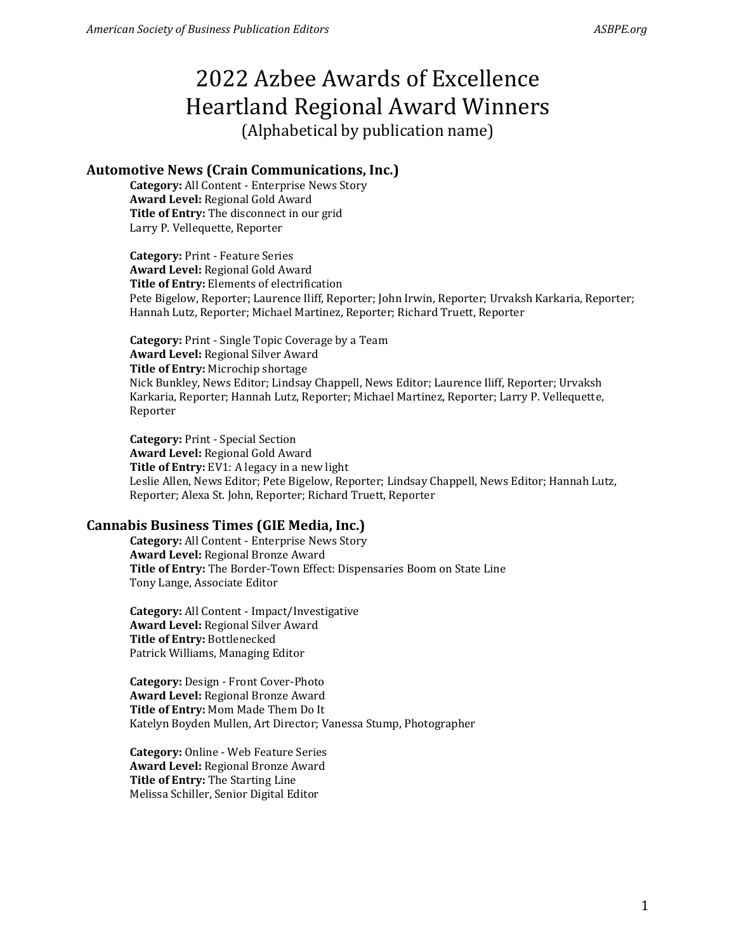# 2022 Azbee Awards of Excellence Heartland Regional Award Winners

# (Alphabetical by publication name)

# **Automotive News (Crain Communications, Inc.)**

**Category:** All Content - Enterprise News Story **Award Level:** Regional Gold Award **Title of Entry:** The disconnect in our grid Larry P. Vellequette, Reporter

**Category:** Print - Feature Series **Award Level:** Regional Gold Award **Title of Entry:** Elements of electrification Pete Bigelow, Reporter; Laurence Iliff, Reporter; John Irwin, Reporter; Urvaksh Karkaria, Reporter; Hannah Lutz, Reporter; Michael Martinez, Reporter; Richard Truett, Reporter

**Category:** Print - Single Topic Coverage by a Team **Award Level:** Regional Silver Award **Title of Entry:** Microchip shortage Nick Bunkley, News Editor; Lindsay Chappell, News Editor; Laurence Iliff, Reporter; Urvaksh Karkaria, Reporter; Hannah Lutz, Reporter; Michael Martinez, Reporter; Larry P. Vellequette, Reporter

**Category:** Print - Special Section **Award Level:** Regional Gold Award **Title of Entry:** EV1: A legacy in a new light Leslie Allen, News Editor; Pete Bigelow, Reporter; Lindsay Chappell, News Editor; Hannah Lutz, Reporter; Alexa St. John, Reporter; Richard Truett, Reporter

### **Cannabis Business Times (GIE Media, Inc.)**

**Category:** All Content - Enterprise News Story **Award Level:** Regional Bronze Award **Title of Entry:** The Border-Town Effect: Dispensaries Boom on State Line Tony Lange, Associate Editor

**Category:** All Content - Impact/Investigative **Award Level:** Regional Silver Award **Title of Entry:** Bottlenecked Patrick Williams, Managing Editor

**Category:** Design - Front Cover-Photo **Award Level:** Regional Bronze Award **Title of Entry:** Mom Made Them Do It Katelyn Boyden Mullen, Art Director; Vanessa Stump, Photographer

**Category:** Online - Web Feature Series **Award Level:** Regional Bronze Award **Title of Entry:** The Starting Line Melissa Schiller, Senior Digital Editor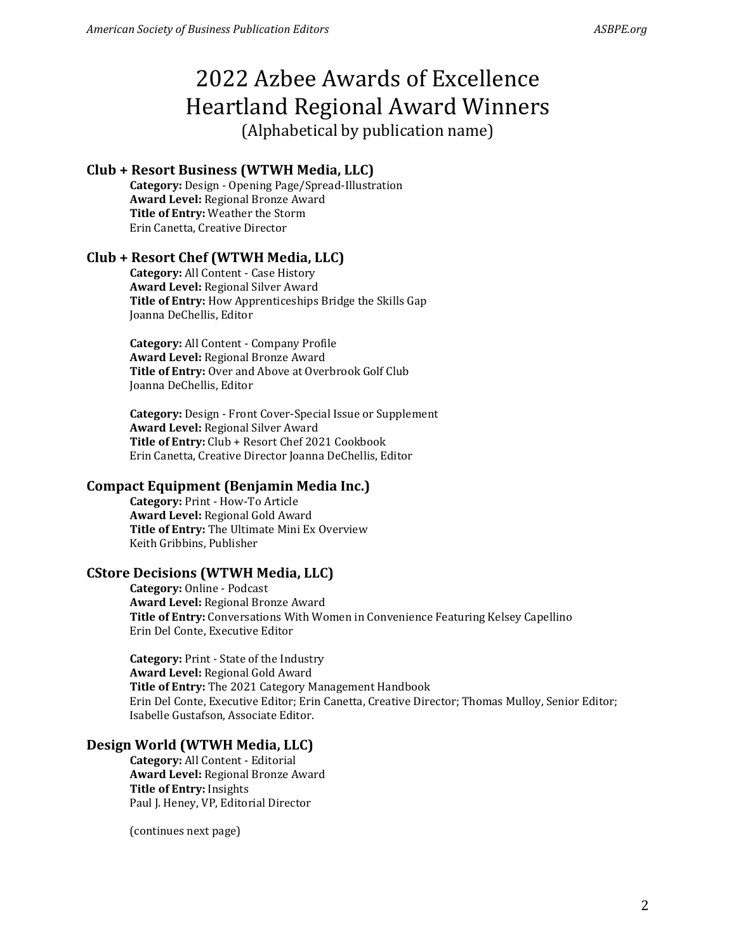# **Club + Resort Business (WTWH Media, LLC)**

**Category:** Design - Opening Page/Spread-Illustration **Award Level:** Regional Bronze Award **Title of Entry:** Weather the Storm Erin Canetta, Creative Director

#### **Club + Resort Chef (WTWH Media, LLC)**

**Category:** All Content - Case History **Award Level:** Regional Silver Award **Title of Entry:** How Apprenticeships Bridge the Skills Gap Joanna DeChellis, Editor

**Category:** All Content - Company Profile **Award Level:** Regional Bronze Award **Title of Entry:** Over and Above at Overbrook Golf Club Joanna DeChellis, Editor

**Category:** Design - Front Cover-Special Issue or Supplement **Award Level:** Regional Silver Award **Title of Entry:** Club + Resort Chef 2021 Cookbook Erin Canetta, Creative Director Joanna DeChellis, Editor

#### **Compact Equipment (Benjamin Media Inc.)**

**Category:** Print - How-To Article **Award Level:** Regional Gold Award **Title of Entry:** The Ultimate Mini Ex Overview Keith Gribbins, Publisher

#### **CStore Decisions (WTWH Media, LLC)**

**Category:** Online - Podcast **Award Level:** Regional Bronze Award **Title of Entry:** Conversations With Women in Convenience Featuring Kelsey Capellino Erin Del Conte, Executive Editor

**Category:** Print - State of the Industry **Award Level:** Regional Gold Award **Title of Entry:** The 2021 Category Management Handbook Erin Del Conte, Executive Editor; Erin Canetta, Creative Director; Thomas Mulloy, Senior Editor; Isabelle Gustafson, Associate Editor.

#### **Design World (WTWH Media, LLC)**

**Category:** All Content - Editorial **Award Level:** Regional Bronze Award **Title of Entry:** Insights Paul J. Heney, VP, Editorial Director

(continues next page)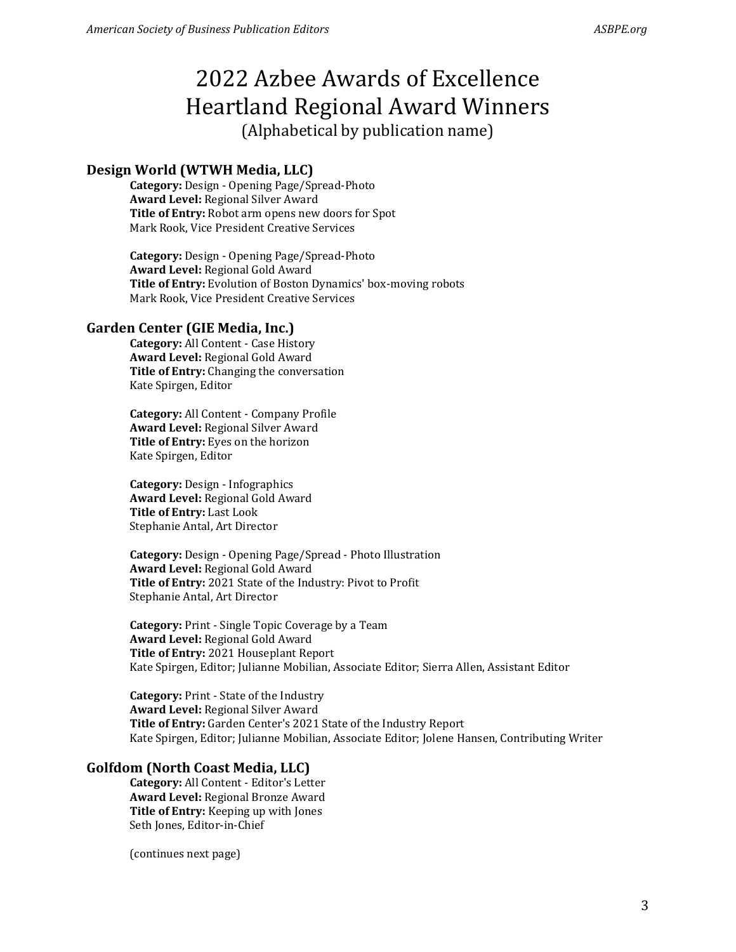# **Design World (WTWH Media, LLC)**

**Category:** Design - Opening Page/Spread-Photo **Award Level:** Regional Silver Award **Title of Entry:** Robot arm opens new doors for Spot Mark Rook, Vice President Creative Services

**Category:** Design - Opening Page/Spread-Photo **Award Level:** Regional Gold Award **Title of Entry:** Evolution of Boston Dynamics' box-moving robots Mark Rook, Vice President Creative Services

### **Garden Center (GIE Media, Inc.)**

**Category:** All Content - Case History **Award Level:** Regional Gold Award **Title of Entry:** Changing the conversation Kate Spirgen, Editor

**Category:** All Content - Company Profile **Award Level:** Regional Silver Award **Title of Entry:** Eyes on the horizon Kate Spirgen, Editor

**Category:** Design - Infographics **Award Level:** Regional Gold Award **Title of Entry:** Last Look Stephanie Antal, Art Director

**Category:** Design - Opening Page/Spread - Photo Illustration **Award Level:** Regional Gold Award **Title of Entry:** 2021 State of the Industry: Pivot to Profit Stephanie Antal, Art Director

**Category:** Print - Single Topic Coverage by a Team **Award Level:** Regional Gold Award **Title of Entry:** 2021 Houseplant Report Kate Spirgen, Editor; Julianne Mobilian, Associate Editor; Sierra Allen, Assistant Editor

**Category:** Print - State of the Industry **Award Level:** Regional Silver Award **Title of Entry:** Garden Center's 2021 State of the Industry Report Kate Spirgen, Editor; Julianne Mobilian, Associate Editor; Jolene Hansen, Contributing Writer

### **Golfdom (North Coast Media, LLC)**

**Category:** All Content - Editor's Letter **Award Level:** Regional Bronze Award **Title of Entry:** Keeping up with Jones Seth Jones, Editor-in-Chief

(continues next page)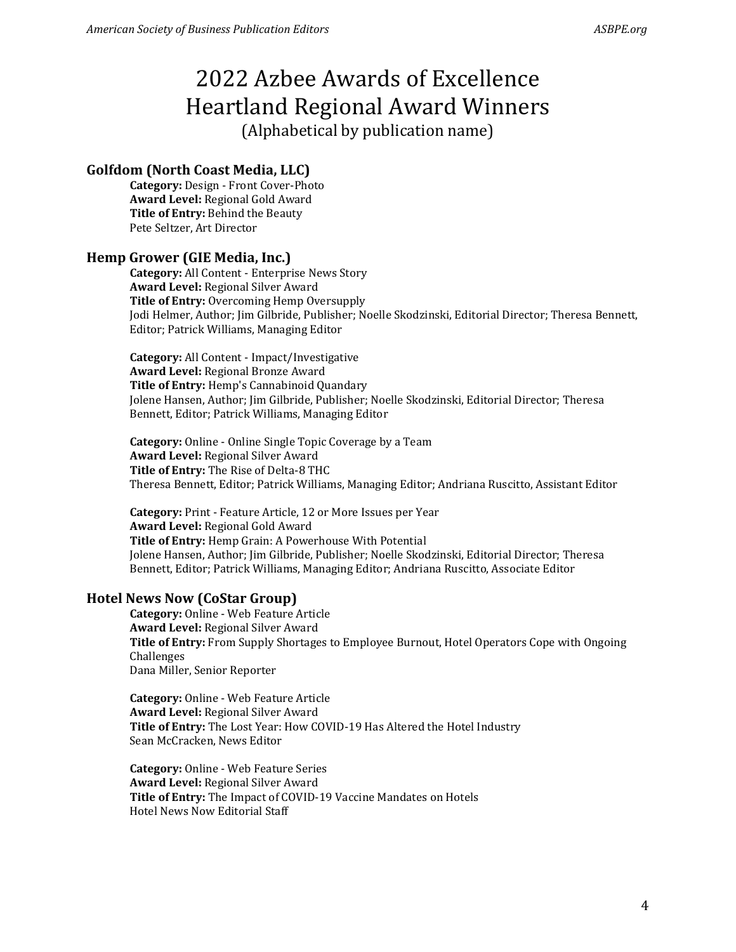# **Golfdom (North Coast Media, LLC)**

**Category:** Design - Front Cover-Photo **Award Level:** Regional Gold Award **Title of Entry:** Behind the Beauty Pete Seltzer, Art Director

# **Hemp Grower (GIE Media, Inc.)**

**Category:** All Content - Enterprise News Story **Award Level:** Regional Silver Award **Title of Entry:** Overcoming Hemp Oversupply Jodi Helmer, Author; Jim Gilbride, Publisher; Noelle Skodzinski, Editorial Director; Theresa Bennett, Editor; Patrick Williams, Managing Editor

**Category:** All Content - Impact/Investigative **Award Level:** Regional Bronze Award **Title of Entry:** Hemp's Cannabinoid Quandary Jolene Hansen, Author; Jim Gilbride, Publisher; Noelle Skodzinski, Editorial Director; Theresa Bennett, Editor; Patrick Williams, Managing Editor

**Category:** Online - Online Single Topic Coverage by a Team **Award Level:** Regional Silver Award **Title of Entry:** The Rise of Delta-8 THC Theresa Bennett, Editor; Patrick Williams, Managing Editor; Andriana Ruscitto, Assistant Editor

**Category:** Print - Feature Article, 12 or More Issues per Year **Award Level:** Regional Gold Award **Title of Entry:** Hemp Grain: A Powerhouse With Potential Jolene Hansen, Author; Jim Gilbride, Publisher; Noelle Skodzinski, Editorial Director; Theresa Bennett, Editor; Patrick Williams, Managing Editor; Andriana Ruscitto, Associate Editor

# **Hotel News Now (CoStar Group)**

**Category:** Online - Web Feature Article **Award Level:** Regional Silver Award **Title of Entry:** From Supply Shortages to Employee Burnout, Hotel Operators Cope with Ongoing Challenges Dana Miller, Senior Reporter

**Category:** Online - Web Feature Article **Award Level:** Regional Silver Award **Title of Entry:** The Lost Year: How COVID-19 Has Altered the Hotel Industry Sean McCracken, News Editor

**Category:** Online - Web Feature Series **Award Level:** Regional Silver Award **Title of Entry:** The Impact of COVID-19 Vaccine Mandates on Hotels Hotel News Now Editorial Staff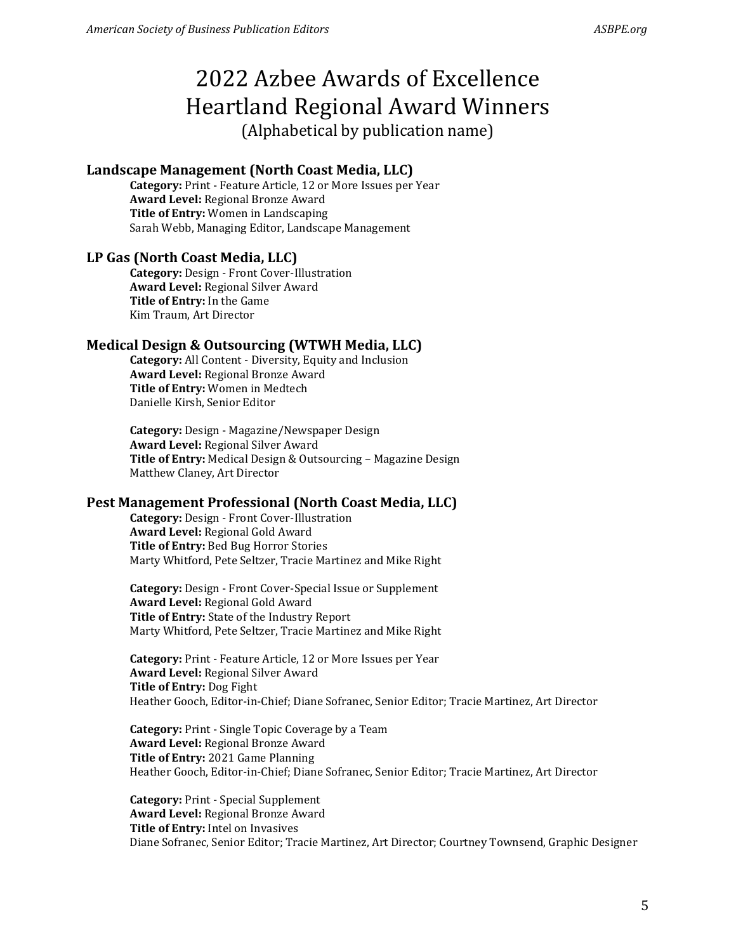# **Landscape Management (North Coast Media, LLC)**

**Category:** Print - Feature Article, 12 or More Issues per Year **Award Level:** Regional Bronze Award **Title of Entry:** Women in Landscaping Sarah Webb, Managing Editor, Landscape Management

# **LP Gas (North Coast Media, LLC)**

**Category:** Design - Front Cover-Illustration **Award Level:** Regional Silver Award **Title of Entry:** In the Game Kim Traum, Art Director

# **Medical Design & Outsourcing (WTWH Media, LLC)**

**Category:** All Content - Diversity, Equity and Inclusion **Award Level:** Regional Bronze Award **Title of Entry:** Women in Medtech Danielle Kirsh, Senior Editor

**Category:** Design - Magazine/Newspaper Design **Award Level:** Regional Silver Award **Title of Entry:** Medical Design & Outsourcing – Magazine Design Matthew Claney, Art Director

### **Pest Management Professional (North Coast Media, LLC)**

**Category:** Design - Front Cover-Illustration **Award Level:** Regional Gold Award **Title of Entry:** Bed Bug Horror Stories Marty Whitford, Pete Seltzer, Tracie Martinez and Mike Right

**Category:** Design - Front Cover-Special Issue or Supplement **Award Level:** Regional Gold Award **Title of Entry:** State of the Industry Report Marty Whitford, Pete Seltzer, Tracie Martinez and Mike Right

**Category:** Print - Feature Article, 12 or More Issues per Year **Award Level:** Regional Silver Award **Title of Entry:** Dog Fight Heather Gooch, Editor-in-Chief; Diane Sofranec, Senior Editor; Tracie Martinez, Art Director

**Category:** Print - Single Topic Coverage by a Team **Award Level:** Regional Bronze Award **Title of Entry:** 2021 Game Planning Heather Gooch, Editor-in-Chief; Diane Sofranec, Senior Editor; Tracie Martinez, Art Director

**Category:** Print - Special Supplement **Award Level:** Regional Bronze Award **Title of Entry:** Intel on Invasives Diane Sofranec, Senior Editor; Tracie Martinez, Art Director; Courtney Townsend, Graphic Designer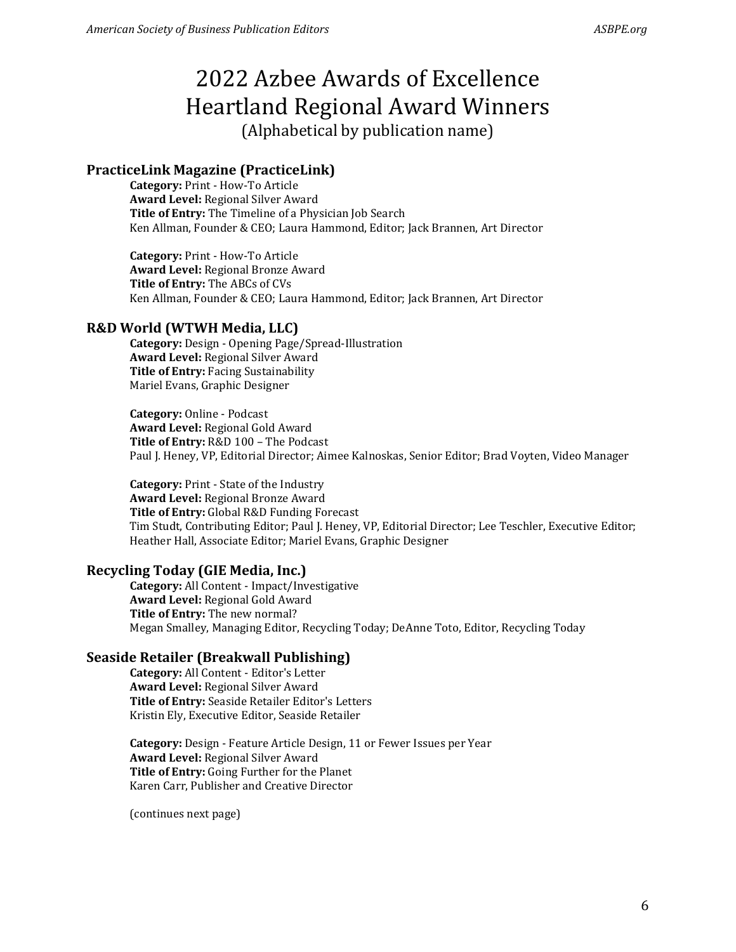# **PracticeLink Magazine (PracticeLink)**

**Category:** Print - How-To Article **Award Level:** Regional Silver Award **Title of Entry:** The Timeline of a Physician Job Search Ken Allman, Founder & CEO; Laura Hammond, Editor; Jack Brannen, Art Director

**Category:** Print - How-To Article **Award Level:** Regional Bronze Award **Title of Entry:** The ABCs of CVs Ken Allman, Founder & CEO; Laura Hammond, Editor; Jack Brannen, Art Director

### **R&D World (WTWH Media, LLC)**

**Category:** Design - Opening Page/Spread-Illustration **Award Level:** Regional Silver Award **Title of Entry:** Facing Sustainability Mariel Evans, Graphic Designer

**Category:** Online - Podcast **Award Level:** Regional Gold Award **Title of Entry:** R&D 100 – The Podcast Paul J. Heney, VP, Editorial Director; Aimee Kalnoskas, Senior Editor; Brad Voyten, Video Manager

**Category:** Print - State of the Industry **Award Level:** Regional Bronze Award **Title of Entry:** Global R&D Funding Forecast Tim Studt, Contributing Editor; Paul J. Heney, VP, Editorial Director; Lee Teschler, Executive Editor; Heather Hall, Associate Editor; Mariel Evans, Graphic Designer

### **Recycling Today (GIE Media, Inc.)**

**Category:** All Content - Impact/Investigative **Award Level:** Regional Gold Award **Title of Entry:** The new normal? Megan Smalley, Managing Editor, Recycling Today; DeAnne Toto, Editor, Recycling Today

### **Seaside Retailer (Breakwall Publishing)**

**Category:** All Content - Editor's Letter **Award Level:** Regional Silver Award **Title of Entry:** Seaside Retailer Editor's Letters Kristin Ely, Executive Editor, Seaside Retailer

**Category:** Design - Feature Article Design, 11 or Fewer Issues per Year **Award Level:** Regional Silver Award **Title of Entry:** Going Further for the Planet Karen Carr, Publisher and Creative Director

(continues next page)